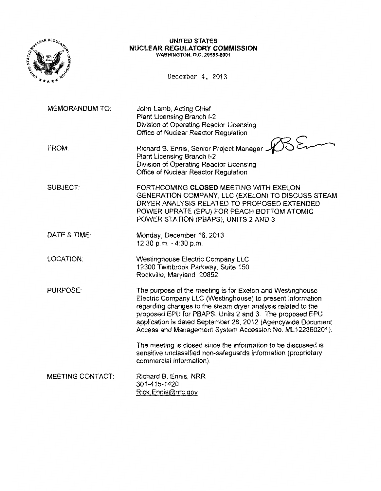

#### **UNITED STATES NUCLEAR REGULATORY COMMISSION**  WASHINGTON, D.C. 20555-0001

December 4, 2013

MEMORANDUM TO:

John Lamb, Acting Chief Plant Licensing Branch 1-2 Division of Operating Reactor Licensing Office of Nuclear Reactor Regulation

|       | Division of Operating Reactor Licensing                                |  |
|-------|------------------------------------------------------------------------|--|
|       | Office of Nuclear Reactor Regulation                                   |  |
| FROM: | Richard B. Ennis, Senior Project Manager<br>Nant Licensing Propect 1.0 |  |
|       |                                                                        |  |
|       | Plant Licensing Branch I-2                                             |  |
|       | Division of Operating Reactor Licensing                                |  |
|       | Office of Nuclear Reactor Regulation                                   |  |

SUBJECT: FORTHCOMING **CLOSED** MEETING WITH EXELON GENERATION COMPANY, LLC (EXELON) TO DISCUSS STEAM DRYER ANALYSIS RELATED TO PROPOSED EXTENDED POWER UPRATE (EPU) FOR PEACH BOTTOM ATOMIC POWER STATION (PBAPS), UNITS 2 AND 3

> Westinghouse Electric Company LLC 12300 Twinbrook Parkway, Suite 150

Rockville, Maryland 20852

- DATE & TIME: Monday, December 16, 2013 12:30 p.m.-4:30p.m.
- LOCATION:

PURPOSE:

The purpose of the meeting is for Exelon and Westinghouse Electric Company LLC (Westinghouse) to present information regarding changes to the steam dryer analysis related to the proposed EPU for PBAPS, Units 2 and 3. The proposed EPU application is dated September 28, 2012 (Agencywide Document Access and Management System Accession No. ML 122860201).

The meeting is closed since the information to be discussed is sensitive unclassified non-safeguards information (proprietary commercial information)

MEETING CONTACT: Richard B. Ennis, NRR 301-415-1420 Rick. Ennis@nrc.gov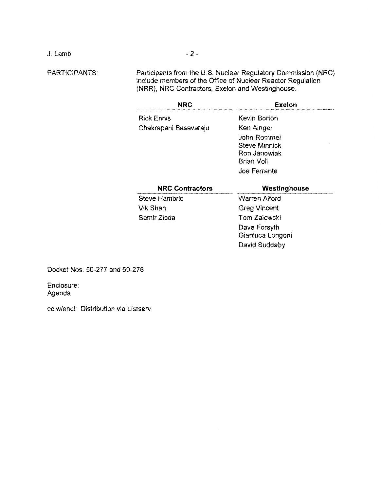J. Lamb

PARTICIPANTS:

Participants from the U.S. Nuclear Regulatory Commission (NRC) include members of the Office of Nuclear Reactor Regulation (NRR), NRC Contractors, Exelon and Westinghouse.

| <b>NRC</b>             | Exelon                                                     |  |
|------------------------|------------------------------------------------------------|--|
| <b>Rick Ennis</b>      | Kevin Borton                                               |  |
| Chakrapani Basavaraju  | Ken Ainger<br>John Rommel<br>Steve Minnick<br>Ron Janowiak |  |
| <b>NRC Contractors</b> | Brian Voll<br>Joe Ferrante<br>Westinghouse                 |  |
| Steve Hambric          | Warren Alford                                              |  |
| Vik Shah               | <b>Greg Vincent</b>                                        |  |
| Samir Ziada            | Tom Zalewski                                               |  |
|                        | Dave Forsyth<br>Gianluca Longoni                           |  |
|                        | David Suddaby                                              |  |

Docket Nos. 50-277 and 50-278

Enclosure: Agenda

cc w/encl: Distribution via Listserv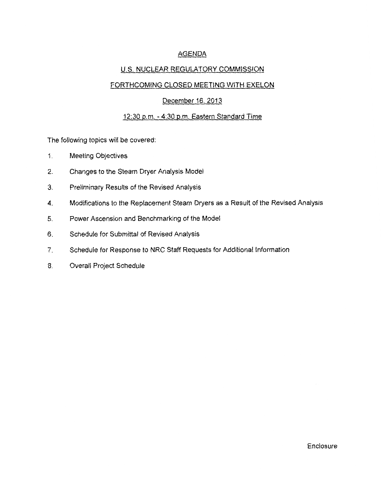# AGENDA

# U.S. NUCLEAR REGULATORY COMMISSION

## FORTHCOMING CLOSED MEETING WITH EXELON

### December 16, 2013

### 12:30 p.m.-4:30p.m. Eastern Standard Time

The following topics will be covered:

- 1. Meeting Objectives
- 2. Changes to the Steam Dryer Analysis Model
- 3. Preliminary Results of the Revised Analysis
- 4. Modifications to the Replacement Steam Dryers as a Result of the Revised Analysis
- 5. Power Ascension and Benchmarking of the Model
- 6. Schedule for Submittal of Revised Analysis
- 7. Schedule for Response to NRC Staff Requests for Additional Information
- 8. Overall Project Schedule